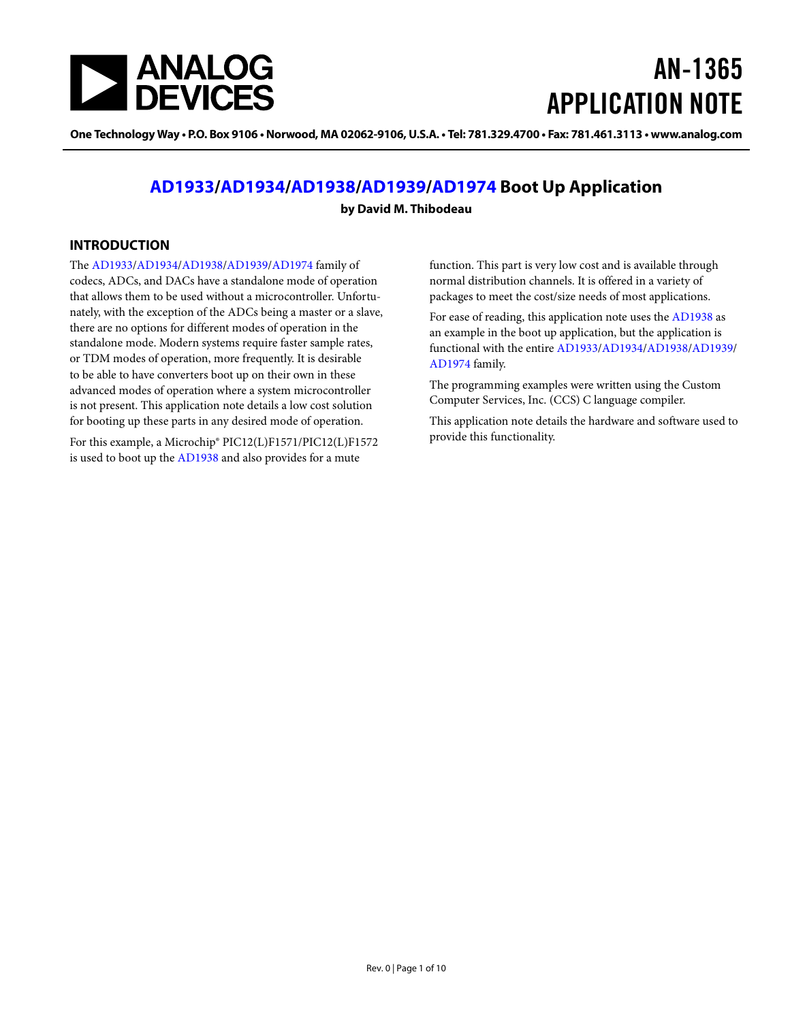

# AN-1365 APPLICATION NOTE

One Technology Way . P.O. Box 9106 . Norwood, MA 02062-9106, U.S.A. . Tel: 781.329.4700 . Fax: 781.461.3113 . www.analog.com

### **[AD1933/](http://www.analog.com/ad1933?doc=AN-1365.pdf)[AD1934](http://www.analog.com/ad1934?doc=AN-1365.pdf)[/AD1938/](http://www.analog.com/ad1938?doc=AN-1365.pdf)[AD1939/](http://www.analog.com/ad1939?doc=AN-1365.pdf)[AD1974](http://www.analog.com/ad1974?doc=AN-1365.pdf) Boot Up Application**

**by David M. Thibodeau**

#### <span id="page-0-0"></span>**INTRODUCTION**

The [AD1933](http://www.analog.com/ad1933?doc=AN-1365.pdf)[/AD1934/](http://www.analog.com/ad1934?doc=AN-1365.pdf)[AD1938/](http://www.analog.com/ad1938?doc=AN-1365.pdf)[AD1939/](http://www.analog.com/ad1939?doc=AN-1365.pdf)[AD1974](http://www.analog.com/ad1974?doc=AN-1365.pdf) family of codecs, ADCs, and DACs have a standalone mode of operation that allows them to be used without a microcontroller. Unfortunately, with the exception of the ADCs being a master or a slave, there are no options for different modes of operation in the standalone mode. Modern systems require faster sample rates, or TDM modes of operation, more frequently. It is desirable to be able to have converters boot up on their own in these advanced modes of operation where a system microcontroller is not present. This application note details a low cost solution for booting up these parts in any desired mode of operation.

For this example, a Microchip® PIC12(L)F1571/PIC12(L)F1572 is used to boot up th[e AD1938](http://www.analog.com/ad1938?doc=AN-1365.pdf) and also provides for a mute

function. This part is very low cost and is available through normal distribution channels. It is offered in a variety of packages to meet the cost/size needs of most applications.

For ease of reading, this application note uses the [AD1938](http://www.analog.com/ad1938?doc=AN-1365.pdf) as an example in the boot up application, but the application is functional with the entire [AD1933](http://www.analog.com/ad1933?doc=AN-1365.pdf)[/AD1934](http://www.analog.com/ad1934?doc=AN-1365.pdf)[/AD1938/](http://www.analog.com/ad1938?doc=AN-1365.pdf)[AD1939/](http://www.analog.com/ad1939?doc=AN-1365.pdf) [AD1974](http://www.analog.com/ad1974?doc=AN-1365.pdf) family.

The programming examples were written using the Custom Computer Services, Inc. (CCS) C language compiler.

This application note details the hardware and software used to provide this functionality.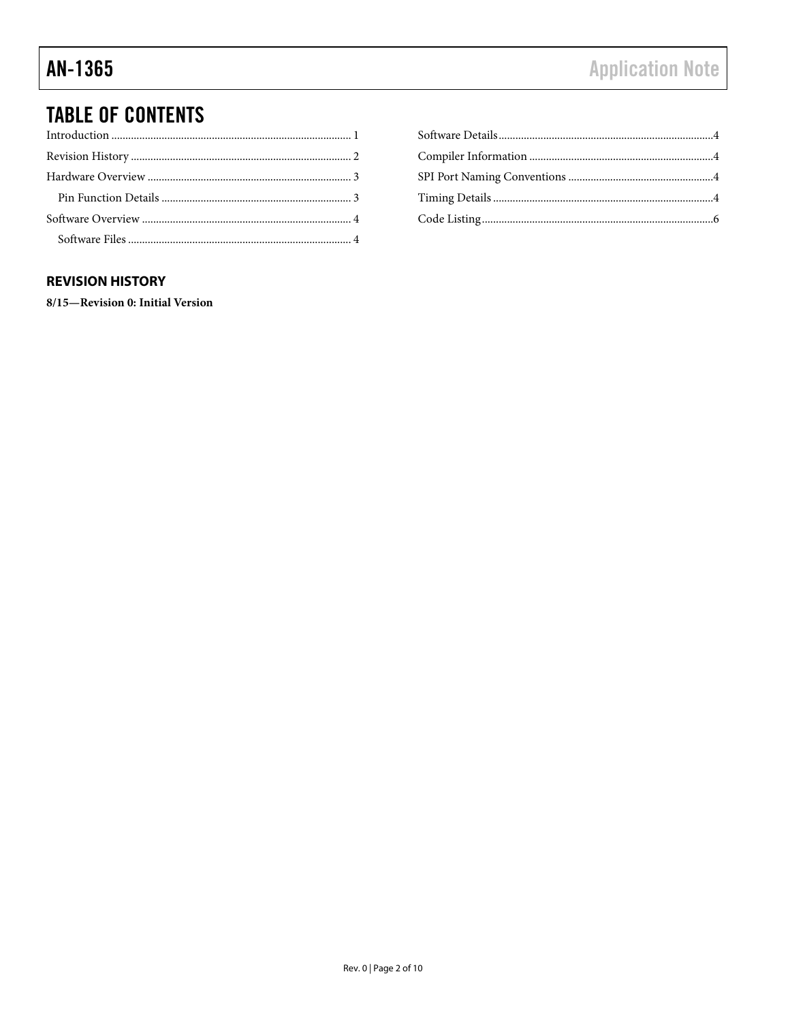## **TABLE OF CONTENTS**

### <span id="page-1-0"></span>**REVISION HISTORY**

8/15-Revision 0: Initial Version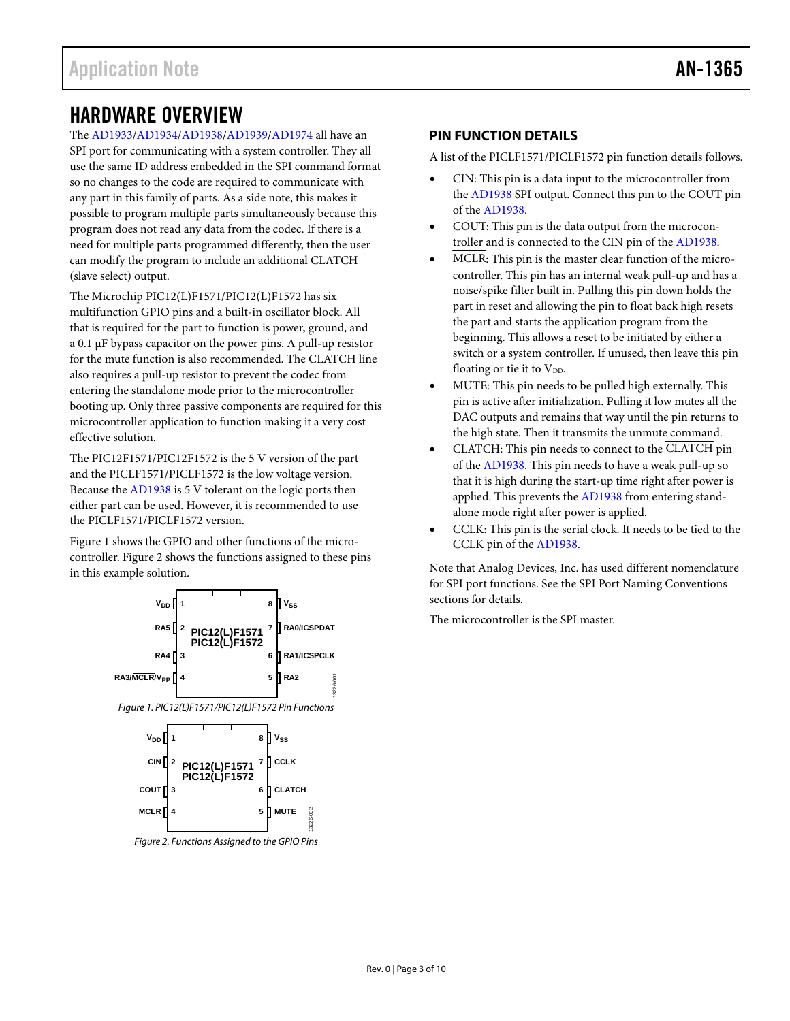### <span id="page-2-1"></span><span id="page-2-0"></span>HARDWARE OVERVIEW

The [AD1933/](http://www.analog.com/ad1933?doc=AN-1365.pdf)[AD1934/](http://www.analog.com/ad1934?doc=AN-1365.pdf)[AD1938/](http://www.analog.com/ad1938?doc=AN-1365.pdf)[AD1939/](http://www.analog.com/ad1939?doc=AN-1365.pdf)[AD1974 a](http://www.analog.com/ad1974?doc=AN-1365.pdf)ll have an SPI port for communicating with a system controller. They all use the same ID address embedded in the SPI command format so no changes to the code are required to communicate with any part in this family of parts. As a side note, this makes it possible to program multiple parts simultaneously because this program does not read any data from the codec. If there is a need for multiple parts programmed differently, then the user can modify the program to include an additional CLATCH (slave select) output.

The Microchip PIC12(L)F1571/PIC12(L)F1572 has six multifunction GPIO pins and a built-in oscillator block. All that is required for the part to function is power, ground, and a 0.1 μF bypass capacitor on the power pins. A pull-up resistor for the mute function is also recommended. The CLATCH line also requires a pull-up resistor to prevent the codec from entering the standalone mode prior to the microcontroller booting up. Only three passive components are required for this microcontroller application to function making it a very cost effective solution.

The PIC12F1571/PIC12F1572 is the 5 V version of the part and the PICLF1571/PICLF1572 is the low voltage version. Because the [AD1938 i](http://www.analog.com/ad1938?doc=AN-1365.pdf)s 5 V tolerant on the logic ports then either part can be used. However, it is recommended to use the PICLF1571/PICLF1572 version.

[Figure 1](#page-2-2) shows the GPIO and other functions of the microcontroller. [Figure 2](#page-2-3) shows the functions assigned to these pins in this example solution.

<span id="page-2-2"></span>

<span id="page-2-3"></span>Figure 2. Functions Assigned to the GPIO Pins

#### **PIN FUNCTION DETAILS**

A list of the PICLF1571/PICLF1572 pin function details follows.

- CIN: This pin is a data input to the microcontroller from the [AD1938](http://www.analog.com/ad1938?doc=AN-1365.pdf) SPI output. Connect this pin to the COUT pin of the [AD1938.](http://www.analog.com/ad1938?doc=AN-1365.pdf)
- COUT: This pin is the data output from the microcontroller and is connected to the CIN pin of the [AD1938.](http://www.analog.com/ad1938?doc=AN-1365.pdf)
- MCLR: This pin is the master clear function of the microcontroller. This pin has an internal weak pull-up and has a noise/spike filter built in. Pulling this pin down holds the part in reset and allowing the pin to float back high resets the part and starts the application program from the beginning. This allows a reset to be initiated by either a switch or a system controller. If unused, then leave this pin floating or tie it to  $V_{DD}$ .
- MUTE: This pin needs to be pulled high externally. This pin is active after initialization. Pulling it low mutes all the DAC outputs and remains that way until the pin returns to the high state. Then it transmits the unmute command.
- CLATCH: This pin needs to connect to the CLATCH pin of the [AD1938.](http://www.analog.com/ad1938?doc=AN-1365.pdf) This pin needs to have a weak pull-up so that it is high during the start-up time right after power is applied. This prevents th[e AD1938 f](http://www.analog.com/ad1938?doc=AN-1365.pdf)rom entering standalone mode right after power is applied.
- CCLK: This pin is the serial clock. It needs to be tied to the CCLK pin of the [AD1938.](http://www.analog.com/ad1938?doc=AN-1365.pdf)

Note that Analog Devices, Inc. has used different nomenclature for SPI port functions. See the [SPI Port Naming Conventions](#page-3-4)  sections for details.

The microcontroller is the SPI master.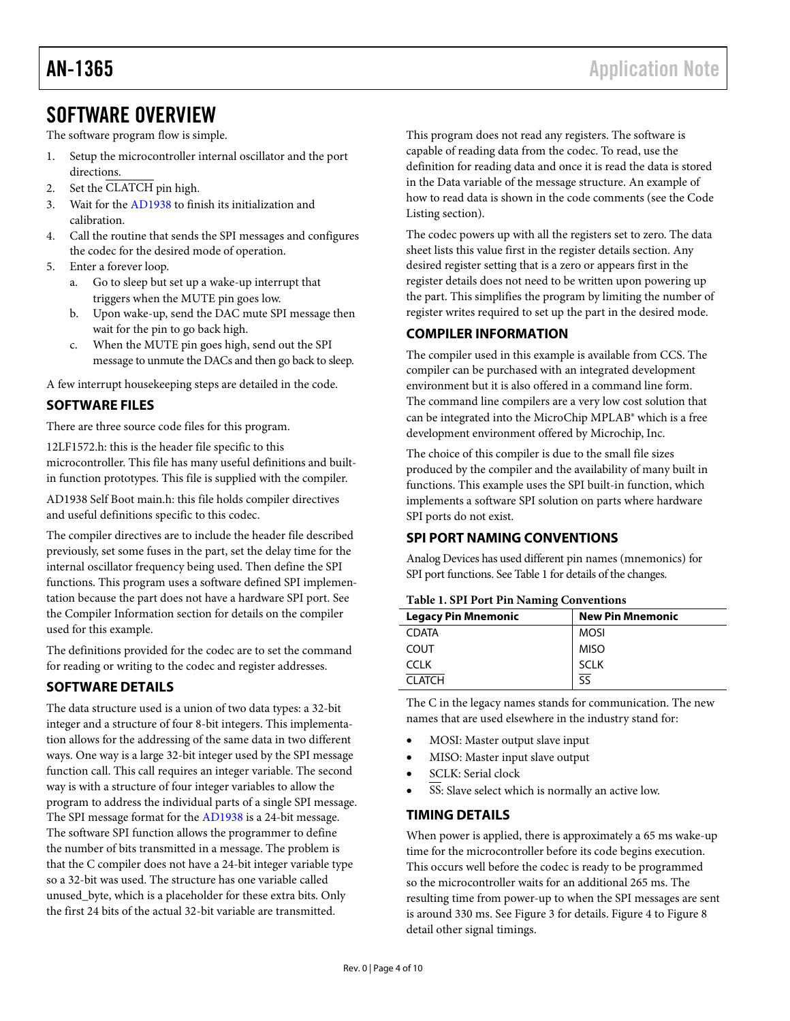### AN-1365 Application Note

### <span id="page-3-0"></span>SOFTWARE OVERVIEW

The software program flow is simple.

- 1. Setup the microcontroller internal oscillator and the port directions.
- 2. Set the CLATCH pin high.
- 3. Wait for the [AD1938](http://www.analog.com/ad1938?doc=AN-1365.pdf) to finish its initialization and calibration.
- 4. Call the routine that sends the SPI messages and configures the codec for the desired mode of operation.
- 5. Enter a forever loop.
	- a. Go to sleep but set up a wake-up interrupt that triggers when the MUTE pin goes low.
	- b. Upon wake-up, send the DAC mute SPI message then wait for the pin to go back high.
	- c. When the MUTE pin goes high, send out the SPI message to unmute the DACs and then go back to sleep.

A few interrupt housekeeping steps are detailed in the code.

#### <span id="page-3-1"></span>**SOFTWARE FILES**

There are three source code files for this program.

12LF1572.h: this is the header file specific to this microcontroller. This file has many useful definitions and builtin function prototypes. This file is supplied with the compiler.

AD1938 Self Boot main.h: this file holds compiler directives and useful definitions specific to this codec.

The compiler directives are to include the header file described previously, set some fuses in the part, set the delay time for the internal oscillator frequency being used. Then define the SPI functions. This program uses a software defined SPI implementation because the part does not have a hardware SPI port. See the [Compiler Information](#page-3-3) section for details on the compiler used for this example.

The definitions provided for the codec are to set the command for reading or writing to the codec and register addresses.

#### <span id="page-3-2"></span>**SOFTWARE DETAILS**

The data structure used is a union of two data types: a 32-bit integer and a structure of four 8-bit integers. This implementation allows for the addressing of the same data in two different ways. One way is a large 32-bit integer used by the SPI message function call. This call requires an integer variable. The second way is with a structure of four integer variables to allow the program to address the individual parts of a single SPI message. The SPI message format for th[e AD1938](http://www.analog.com/ad1938?doc=AN-1365.pdf) is a 24-bit message. The software SPI function allows the programmer to define the number of bits transmitted in a message. The problem is that the C compiler does not have a 24-bit integer variable type so a 32-bit was used. The structure has one variable called unused\_byte, which is a placeholder for these extra bits. Only the first 24 bits of the actual 32-bit variable are transmitted.

This program does not read any registers. The software is capable of reading data from the codec. To read, use the definition for reading data and once it is read the data is stored in the Data variable of the message structure. An example of how to read data is shown in the code comments (see the [Code](#page-5-0)  [Listing](#page-5-0) section).

The codec powers up with all the registers set to zero. The data sheet lists this value first in the register details section. Any desired register setting that is a zero or appears first in the register details does not need to be written upon powering up the part. This simplifies the program by limiting the number of register writes required to set up the part in the desired mode.

#### <span id="page-3-3"></span>**COMPILER INFORMATION**

The compiler used in this example is available from CCS. The compiler can be purchased with an integrated development environment but it is also offered in a command line form. The command line compilers are a very low cost solution that can be integrated into the MicroChip MPLAB® which is a free development environment offered by Microchip, Inc.

The choice of this compiler is due to the small file sizes produced by the compiler and the availability of many built in functions. This example uses the SPI built-in function, which implements a software SPI solution on parts where hardware SPI ports do not exist.

#### <span id="page-3-4"></span>**SPI PORT NAMING CONVENTIONS**

Analog Devices has used different pin names (mnemonics) for SPI port functions. Se[e Table 1](#page-3-6) for details of the changes.

#### <span id="page-3-6"></span>**Table 1. SPI Port Pin Naming Conventions**

| <b>Legacy Pin Mnemonic</b> | <b>New Pin Mnemonic</b> |
|----------------------------|-------------------------|
| <b>CDATA</b>               | <b>MOSI</b>             |
| <b>COUT</b>                | <b>MISO</b>             |
| CCI K                      | <b>SCLK</b>             |
| <b>CLATCH</b>              |                         |
|                            |                         |

The C in the legacy names stands for communication. The new names that are used elsewhere in the industry stand for:

- MOSI: Master output slave input
- MISO: Master input slave output
- SCLK: Serial clock
- SS: Slave select which is normally an active low.

#### <span id="page-3-5"></span>**TIMING DETAILS**

When power is applied, there is approximately a 65 ms wake-up time for the microcontroller before its code begins execution. This occurs well before the codec is ready to be programmed so the microcontroller waits for an additional 265 ms. The resulting time from power-up to when the SPI messages are sent is around 330 ms. See [Figure 3](#page-4-0) for details. [Figure 4](#page-4-1) t[o Figure 8](#page-4-2) detail other signal timings.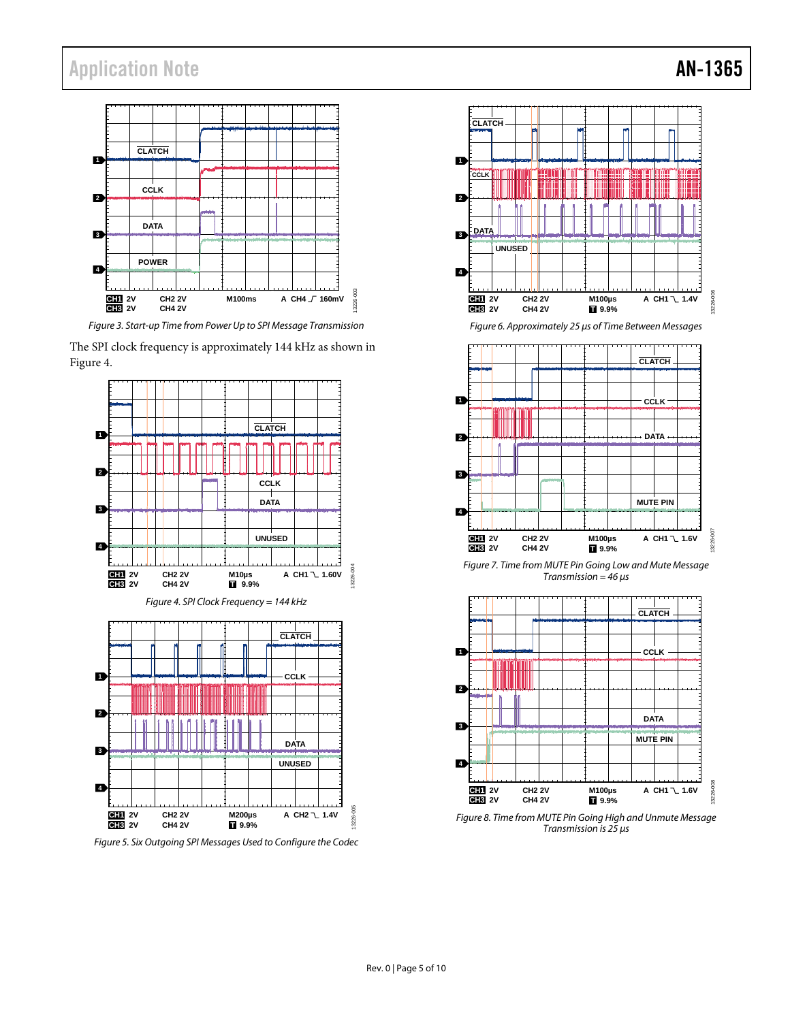

<span id="page-4-0"></span>*Figure 3. Start-up Time from Power Up to SPI Message Transmission*

#### The SPI clock frequency is approximately 144 kHz as shown in [Figure 4.](#page-4-1)

<span id="page-4-1"></span>

*Figure 5. Six Outgoing SPI Messages Used to Configure the Codec*



*Figure 6. Approximately 25 µs of Time Between Messages*



*Figure 7. Time from MUTE Pin Going Low and Mute Message Transmission = 46 µs*



<span id="page-4-2"></span>*Figure 8. Time from MUTE Pin Going High and Unmute Message Transmission is 25 µs*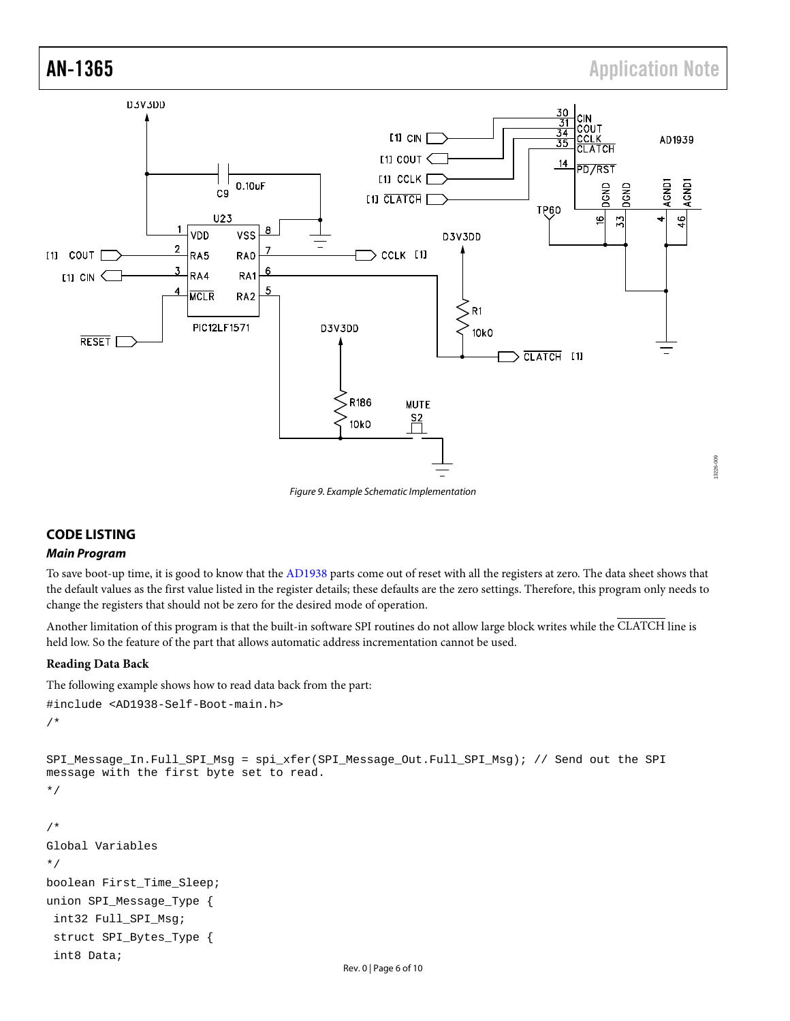13226-009

DOG **226-4** 



*Figure 9. Example Schematic Implementation*

#### <span id="page-5-0"></span>**CODE LISTING**

#### *Main Program*

To save boot-up time, it is good to know that the [AD1938](http://www.analog.com/ad1938?doc=AN-1365.pdf) parts come out of reset with all the registers at zero. The data sheet shows that the default values as the first value listed in the register details; these defaults are the zero settings. Therefore, this program only needs to change the registers that should not be zero for the desired mode of operation.

Another limitation of this program is that the built-in software SPI routines do not allow large block writes while the CLATCH line is held low. So the feature of the part that allows automatic address incrementation cannot be used.

#### **Reading Data Back**

int8 Data;

The following example shows how to read data back from the part:

```
#include <AD1938-Self-Boot-main.h>
/*
SPI_Message_In.Full_SPI_Msg = spi_xfer(SPI_Message_Out.Full_SPI_Msg); // Send out the SPI 
message with the first byte set to read. 
*/
/*
Global Variables
*/
boolean First_Time_Sleep;
union SPI_Message_Type {
 int32 Full_SPI_Msg;
 struct SPI_Bytes_Type {
```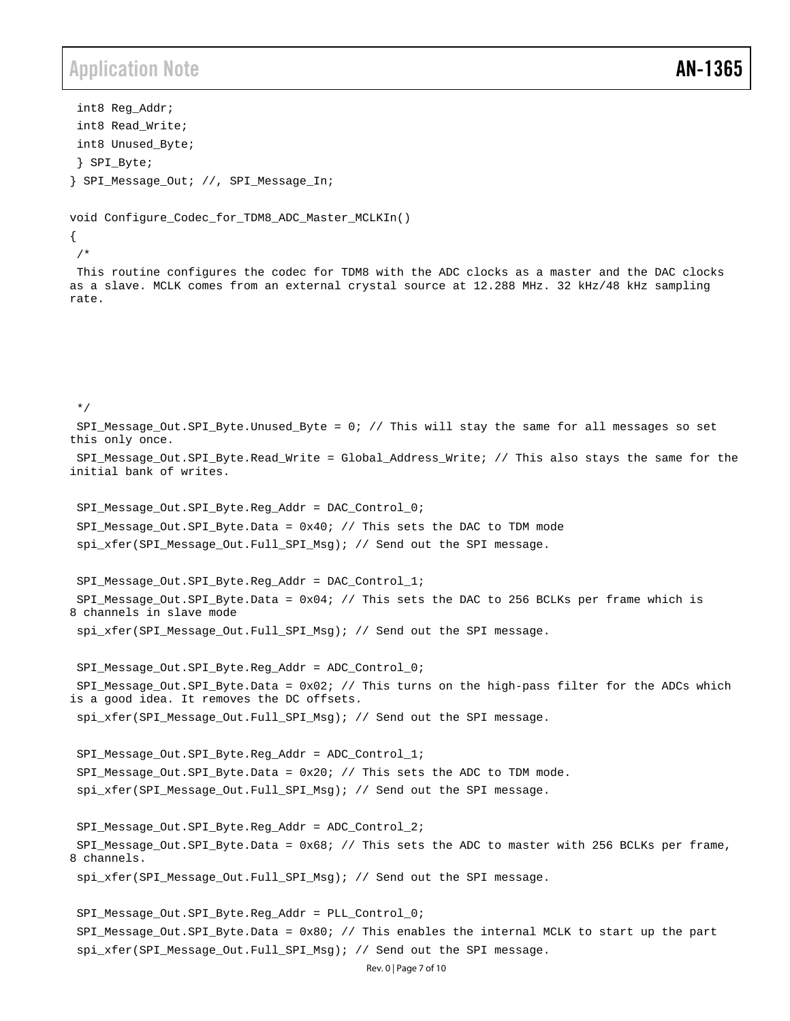### Application Note **AN-1365**

```
int8 Reg_Addr;
int8 Read_Write;
int8 Unused_Byte;
} SPI_Byte;
} SPI_Message_Out; //, SPI_Message_In;
void Configure_Codec_for_TDM8_ADC_Master_MCLKIn()
{
 /*
This routine configures the codec for TDM8 with the ADC clocks as a master and the DAC clocks 
as a slave. MCLK comes from an external crystal source at 12.288 MHz. 32 kHz/48 kHz sampling 
rate.
 */
SPI_Message_Out.SPI_Byte.Unused_Byte = 0; // This will stay the same for all messages so set 
this only once. 
 SPI_Message_Out.SPI_Byte.Read_Write = Global_Address_Write; // This also stays the same for the 
initial bank of writes. 
SPI_Message_Out.SPI_Byte.Reg_Addr = DAC_Control_0;
SPI_Message_Out.SPI_Byte.Data = 0x40; // This sets the DAC to TDM mode
 spi_xfer(SPI_Message_Out.Full_SPI_Msg); // Send out the SPI message. 
SPI_Message_Out.SPI_Byte.Reg_Addr = DAC_Control_1;
SPI_Message_Out.SPI_Byte.Data = 0x04; // This sets the DAC to 256 BCLKs per frame which is 
8 channels in slave mode
 spi_xfer(SPI_Message_Out.Full_SPI_Msg); // Send out the SPI message. 
SPI_Message_Out.SPI_Byte.Reg_Addr = ADC_Control_0;
SPI_Message_Out.SPI_Byte.Data = 0x02; // This turns on the high-pass filter for the ADCs which 
is a good idea. It removes the DC offsets.
 spi_xfer(SPI_Message_Out.Full_SPI_Msg); // Send out the SPI message. 
SPI_Message_Out.SPI_Byte.Reg_Addr = ADC_Control_1;
SPI_Message_Out.SPI_Byte.Data = 0x20; // This sets the ADC to TDM mode.
 spi_xfer(SPI_Message_Out.Full_SPI_Msg); // Send out the SPI message.
SPI_Message_Out.SPI_Byte.Reg_Addr = ADC_Control_2;
SPI_Message_Out.SPI_Byte.Data = 0x68; // This sets the ADC to master with 256 BCLKs per frame, 
8 channels. 
 spi_xfer(SPI_Message_Out.Full_SPI_Msg); // Send out the SPI message. 
 SPI_Message_Out.SPI_Byte.Reg_Addr = PLL_Control_0;
 SPI_Message_Out.SPI_Byte.Data = 0x80; // This enables the internal MCLK to start up the part 
 spi_xfer(SPI_Message_Out.Full_SPI_Msg); // Send out the SPI message.
```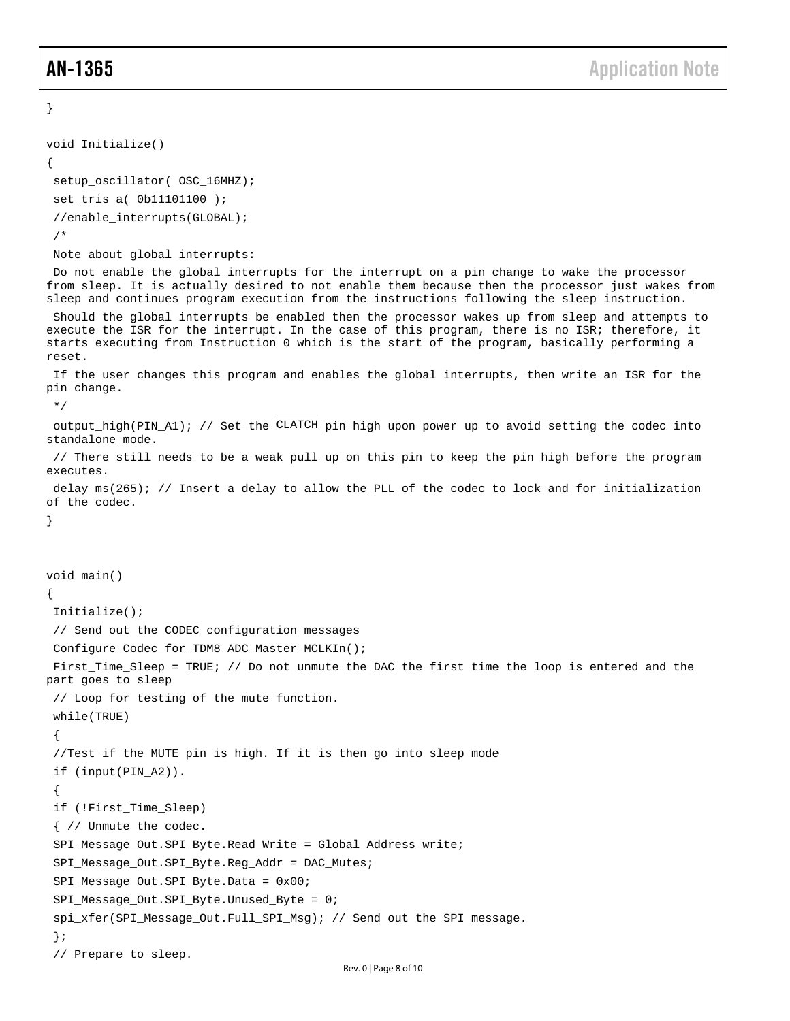```
}
```

```
void Initialize()
{
```

```
setup_oscillator( OSC_16MHZ);
```

```
set_tris_a( 0b11101100 );
```

```
//enable_interrupts(GLOBAL);
```
/\*

```
Note about global interrupts:
```
Do not enable the global interrupts for the interrupt on a pin change to wake the processor from sleep. It is actually desired to not enable them because then the processor just wakes from sleep and continues program execution from the instructions following the sleep instruction.

Should the global interrupts be enabled then the processor wakes up from sleep and attempts to execute the ISR for the interrupt. In the case of this program, there is no ISR; therefore, it starts executing from Instruction 0 which is the start of the program, basically performing a reset.

If the user changes this program and enables the global interrupts, then write an ISR for the pin change.

\*/

output\_high(PIN\_A1); // Set the  $\overline{\text{CLATCH}}$  pin high upon power up to avoid setting the codec into standalone mode.

// There still needs to be a weak pull up on this pin to keep the pin high before the program executes.

```
delay_ms(265); // Insert a delay to allow the PLL of the codec to lock and for initialization 
of the codec.
```

```
}
```

```
void main()
{
 Initialize();
 // Send out the CODEC configuration messages
 Configure_Codec_for_TDM8_ADC_Master_MCLKIn();
 First_Time_Sleep = TRUE; // Do not unmute the DAC the first time the loop is entered and the 
part goes to sleep 
 // Loop for testing of the mute function.
 while(TRUE)
 {
 //Test if the MUTE pin is high. If it is then go into sleep mode
 if (input(PIN_A2)).
 {
 if (!First_Time_Sleep)
 { // Unmute the codec.
 SPI_Message_Out.SPI_Byte.Read_Write = Global_Address_write;
 SPI_Message_Out.SPI_Byte.Reg_Addr = DAC_Mutes;
 SPI_Message_Out.SPI_Byte.Data = 0x00;
 SPI_Message_Out.SPI_Byte.Unused_Byte = 0;
 spi_xfer(SPI_Message_Out.Full_SPI_Msg); // Send out the SPI message. 
 }; 
 // Prepare to sleep.
```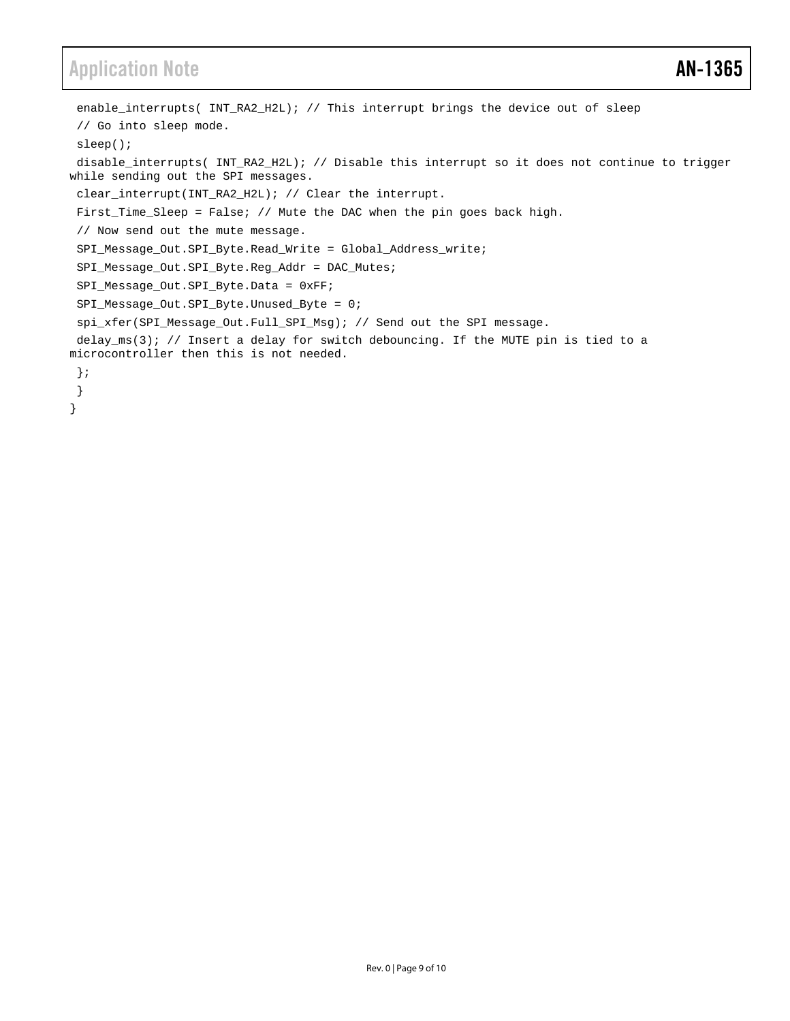## Application Note **AN-1365**

```
enable_interrupts( INT_RA2_H2L); // This interrupt brings the device out of sleep
// Go into sleep mode.
sleep();
disable_interrupts( INT_RA2_H2L); // Disable this interrupt so it does not continue to trigger 
while sending out the SPI messages.
clear_interrupt(INT_RA2_H2L); // Clear the interrupt.
First_Time_Sleep = False; // Mute the DAC when the pin goes back high.
// Now send out the mute message.
SPI_Message_Out.SPI_Byte.Read_Write = Global_Address_write;
SPI_Message_Out.SPI_Byte.Reg_Addr = DAC_Mutes;
SPI_Message_Out.SPI_Byte.Data = 0xFF;
SPI_Message_Out.SPI_Byte.Unused_Byte = 0;
spi_xfer(SPI_Message_Out.Full_SPI_Msg); // Send out the SPI message. 
delay_ms(3); // Insert a delay for switch debouncing. If the MUTE pin is tied to a 
microcontroller then this is not needed.
};
}
}
```